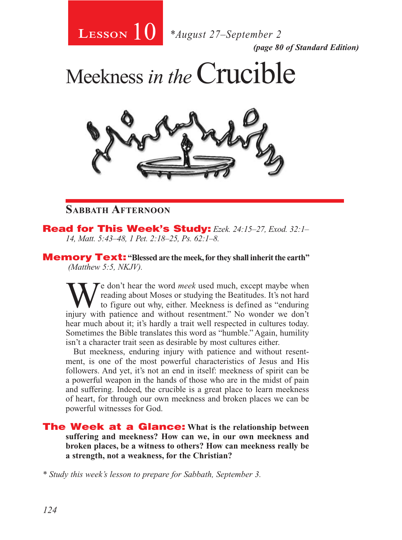

*(page 80 of Standard Edition)*

Meekness *in the*Crucible



#### **Sabbath Afternoon**

Read for This Week's Study: *Ezek. 24:15–27, Exod. 32:1– 14, Matt. 5:43–48, 1 Pet. 2:18–25, Ps. 62:1–8.*

Memory Text: **"Blessed are the meek, for they shall inherit the earth"**  *(Matthew 5:5, NKJV).* 

We don't hear the word *meek* used much, except maybe when<br>to figure out why, either. Meekness is defined as "enduring<br>injury, with patience and without recentment". No wonder we don't reading about Moses or studying the Beatitudes. It's not hard to figure out why, either. Meekness is defined as "enduring injury with patience and without resentment." No wonder we don't hear much about it; it's hardly a trait well respected in cultures today. Sometimes the Bible translates this word as "humble." Again, humility isn't a character trait seen as desirable by most cultures either.

But meekness, enduring injury with patience and without resentment, is one of the most powerful characteristics of Jesus and His followers. And yet, it's not an end in itself: meekness of spirit can be a powerful weapon in the hands of those who are in the midst of pain and suffering. Indeed, the crucible is a great place to learn meekness of heart, for through our own meekness and broken places we can be powerful witnesses for God.

The Week at a Glance: **What is the relationship between suffering and meekness? How can we, in our own meekness and broken places, be a witness to others? How can meekness really be a strength, not a weakness, for the Christian?** 

*\* Study this week's lesson to prepare for Sabbath, September 3.*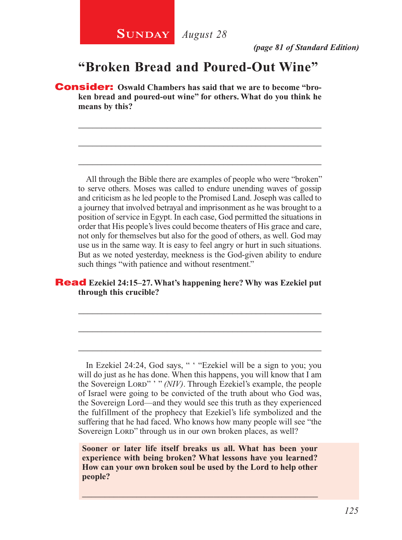*(page 81 of Standard Edition)*

## **"Broken Bread and Poured-Out Wine"**

\_\_\_\_\_\_\_\_\_\_\_\_\_\_\_\_\_\_\_\_\_\_\_\_\_\_\_\_\_\_\_\_\_\_\_\_\_\_\_\_\_\_\_\_\_\_\_\_\_\_\_\_

\_\_\_\_\_\_\_\_\_\_\_\_\_\_\_\_\_\_\_\_\_\_\_\_\_\_\_\_\_\_\_\_\_\_\_\_\_\_\_\_\_\_\_\_\_\_\_\_\_\_\_\_

\_\_\_\_\_\_\_\_\_\_\_\_\_\_\_\_\_\_\_\_\_\_\_\_\_\_\_\_\_\_\_\_\_\_\_\_\_\_\_\_\_\_\_\_\_\_\_\_\_\_\_\_

Consider: **Oswald Chambers has said that we are to become "broken bread and poured-out wine" for others. What do you think he means by this?**

All through the Bible there are examples of people who were "broken" to serve others. Moses was called to endure unending waves of gossip and criticism as he led people to the Promised Land. Joseph was called to a journey that involved betrayal and imprisonment as he was brought to a position of service in Egypt. In each case, God permitted the situations in order that His people's lives could become theaters of His grace and care, not only for themselves but also for the good of others, as well. God may use us in the same way. It is easy to feel angry or hurt in such situations. But as we noted yesterday, meekness is the God-given ability to endure such things "with patience and without resentment."

#### Read **Ezekiel 24:15–27. What's happening here? Why was Ezekiel put through this crucible?**

\_\_\_\_\_\_\_\_\_\_\_\_\_\_\_\_\_\_\_\_\_\_\_\_\_\_\_\_\_\_\_\_\_\_\_\_\_\_\_\_\_\_\_\_\_\_\_\_\_\_\_\_

\_\_\_\_\_\_\_\_\_\_\_\_\_\_\_\_\_\_\_\_\_\_\_\_\_\_\_\_\_\_\_\_\_\_\_\_\_\_\_\_\_\_\_\_\_\_\_\_\_\_\_\_

\_\_\_\_\_\_\_\_\_\_\_\_\_\_\_\_\_\_\_\_\_\_\_\_\_\_\_\_\_\_\_\_\_\_\_\_\_\_\_\_\_\_\_\_\_\_\_\_\_\_\_\_

In Ezekiel 24:24, God says, " ' "Ezekiel will be a sign to you; you will do just as he has done. When this happens, you will know that I am the Sovereign Lord" ' " *(NIV)*. Through Ezekiel's example, the people of Israel were going to be convicted of the truth about who God was, the Sovereign Lord—and they would see this truth as they experienced the fulfillment of the prophecy that Ezekiel's life symbolized and the suffering that he had faced. Who knows how many people will see "the Sovereign Lord" through us in our own broken places, as well?

**Sooner or later life itself breaks us all. What has been your experience with being broken? What lessons have you learned? How can your own broken soul be used by the Lord to help other people?** 

\_\_\_\_\_\_\_\_\_\_\_\_\_\_\_\_\_\_\_\_\_\_\_\_\_\_\_\_\_\_\_\_\_\_\_\_\_\_\_\_\_\_\_\_\_\_\_\_\_\_\_\_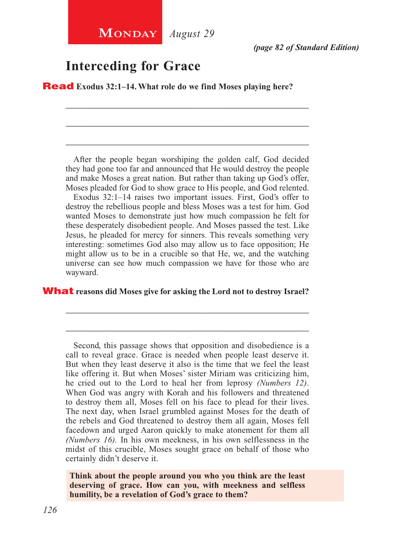### **Interceding for Grace**

Read **Exodus 32:1–14. What role do we find Moses playing here?** 

After the people began worshiping the golden calf, God decided they had gone too far and announced that He would destroy the people and make Moses a great nation. But rather than taking up God's offer, Moses pleaded for God to show grace to His people, and God relented. Exodus 32:1–14 raises two important issues. First, God's offer to destroy the rebellious people and bless Moses was a test for him. God wanted Moses to demonstrate just how much compassion he felt for these desperately disobedient people. And Moses passed the test. Like Jesus, he pleaded for mercy for sinners. This reveals something very interesting: sometimes God also may allow us to face opposition; He might allow us to be in a crucible so that He, we, and the watching universe can see how much compassion we have for those who are wayward.

\_\_\_\_\_\_\_\_\_\_\_\_\_\_\_\_\_\_\_\_\_\_\_\_\_\_\_\_\_\_\_\_\_\_\_\_\_\_\_\_\_\_\_\_\_\_\_\_\_\_\_\_

\_\_\_\_\_\_\_\_\_\_\_\_\_\_\_\_\_\_\_\_\_\_\_\_\_\_\_\_\_\_\_\_\_\_\_\_\_\_\_\_\_\_\_\_\_\_\_\_\_\_\_\_

\_\_\_\_\_\_\_\_\_\_\_\_\_\_\_\_\_\_\_\_\_\_\_\_\_\_\_\_\_\_\_\_\_\_\_\_\_\_\_\_\_\_\_\_\_\_\_\_\_\_\_\_

#### What **reasons did Moses give for asking the Lord not to destroy Israel?**

\_\_\_\_\_\_\_\_\_\_\_\_\_\_\_\_\_\_\_\_\_\_\_\_\_\_\_\_\_\_\_\_\_\_\_\_\_\_\_\_\_\_\_\_\_\_\_\_\_\_\_\_

\_\_\_\_\_\_\_\_\_\_\_\_\_\_\_\_\_\_\_\_\_\_\_\_\_\_\_\_\_\_\_\_\_\_\_\_\_\_\_\_\_\_\_\_\_\_\_\_\_\_\_\_

Second, this passage shows that opposition and disobedience is a call to reveal grace. Grace is needed when people least deserve it. But when they least deserve it also is the time that we feel the least like offering it. But when Moses' sister Miriam was criticizing him, he cried out to the Lord to heal her from leprosy *(Numbers 12)*. When God was angry with Korah and his followers and threatened to destroy them all, Moses fell on his face to plead for their lives. The next day, when Israel grumbled against Moses for the death of the rebels and God threatened to destroy them all again, Moses fell facedown and urged Aaron quickly to make atonement for them all *(Numbers 16).* In his own meekness, in his own selflessness in the midst of this crucible, Moses sought grace on behalf of those who certainly didn't deserve it.

**Think about the people around you who you think are the least deserving of grace. How can you, with meekness and selfless humility, be a revelation of God's grace to them?**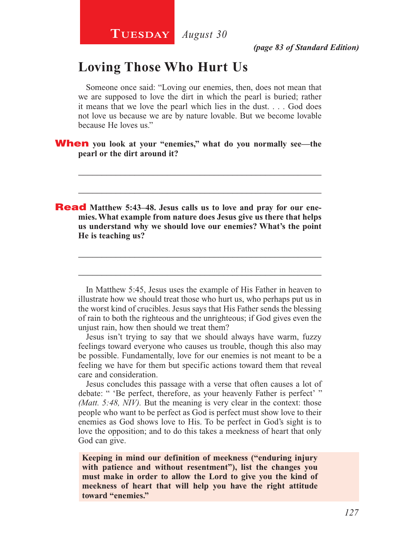## **Loving Those Who Hurt Us**

Someone once said: "Loving our enemies, then, does not mean that we are supposed to love the dirt in which the pearl is buried; rather it means that we love the pearl which lies in the dust. . . . God does not love us because we are by nature lovable. But we become lovable because He loves us."

\_\_\_\_\_\_\_\_\_\_\_\_\_\_\_\_\_\_\_\_\_\_\_\_\_\_\_\_\_\_\_\_\_\_\_\_\_\_\_\_\_\_\_\_\_\_\_\_\_\_\_\_

\_\_\_\_\_\_\_\_\_\_\_\_\_\_\_\_\_\_\_\_\_\_\_\_\_\_\_\_\_\_\_\_\_\_\_\_\_\_\_\_\_\_\_\_\_\_\_\_\_\_\_\_

#### When **you look at your "enemies," what do you normally see—the pearl or the dirt around it?**

**Read** Matthew 5:43–48. Jesus calls us to love and pray for our ene**mies. What example from nature does Jesus give us there that helps us understand why we should love our enemies? What's the point He is teaching us?**

In Matthew 5:45, Jesus uses the example of His Father in heaven to illustrate how we should treat those who hurt us, who perhaps put us in the worst kind of crucibles. Jesus says that His Father sends the blessing of rain to both the righteous and the unrighteous; if God gives even the unjust rain, how then should we treat them?

\_\_\_\_\_\_\_\_\_\_\_\_\_\_\_\_\_\_\_\_\_\_\_\_\_\_\_\_\_\_\_\_\_\_\_\_\_\_\_\_\_\_\_\_\_\_\_\_\_\_\_\_

\_\_\_\_\_\_\_\_\_\_\_\_\_\_\_\_\_\_\_\_\_\_\_\_\_\_\_\_\_\_\_\_\_\_\_\_\_\_\_\_\_\_\_\_\_\_\_\_\_\_\_\_

Jesus isn't trying to say that we should always have warm, fuzzy feelings toward everyone who causes us trouble, though this also may be possible. Fundamentally, love for our enemies is not meant to be a feeling we have for them but specific actions toward them that reveal care and consideration.

Jesus concludes this passage with a verse that often causes a lot of debate: " 'Be perfect, therefore, as your heavenly Father is perfect' " *(Matt. 5:48, NIV).* But the meaning is very clear in the context: those people who want to be perfect as God is perfect must show love to their enemies as God shows love to His. To be perfect in God's sight is to love the opposition; and to do this takes a meekness of heart that only God can give.

**Keeping in mind our definition of meekness ("enduring injury with patience and without resentment"), list the changes you must make in order to allow the Lord to give you the kind of meekness of heart that will help you have the right attitude toward "enemies."**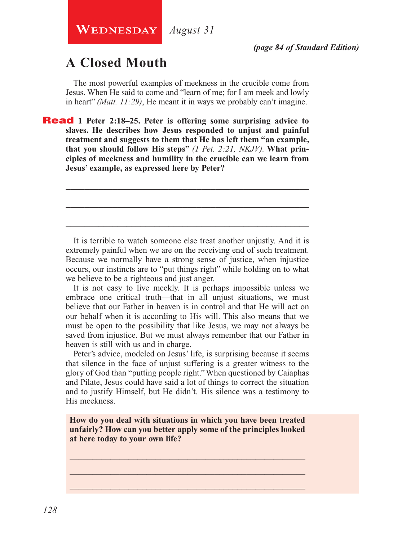## **A Closed Mouth**

The most powerful examples of meekness in the crucible come from Jesus. When He said to come and "learn of me; for I am meek and lowly in heart" *(Matt. 11:29)*, He meant it in ways we probably can't imagine.

Read **1 Peter 2:18–25. Peter is offering some surprising advice to slaves. He describes how Jesus responded to unjust and painful treatment and suggests to them that He has left them "an example, that you should follow His steps"** *(1 Pet. 2:21, NKJV).* **What principles of meekness and humility in the crucible can we learn from Jesus' example, as expressed here by Peter?**

It is terrible to watch someone else treat another unjustly. And it is extremely painful when we are on the receiving end of such treatment. Because we normally have a strong sense of justice, when injustice occurs, our instincts are to "put things right" while holding on to what we believe to be a righteous and just anger.

\_\_\_\_\_\_\_\_\_\_\_\_\_\_\_\_\_\_\_\_\_\_\_\_\_\_\_\_\_\_\_\_\_\_\_\_\_\_\_\_\_\_\_\_\_\_\_\_\_\_\_\_

\_\_\_\_\_\_\_\_\_\_\_\_\_\_\_\_\_\_\_\_\_\_\_\_\_\_\_\_\_\_\_\_\_\_\_\_\_\_\_\_\_\_\_\_\_\_\_\_\_\_\_\_

\_\_\_\_\_\_\_\_\_\_\_\_\_\_\_\_\_\_\_\_\_\_\_\_\_\_\_\_\_\_\_\_\_\_\_\_\_\_\_\_\_\_\_\_\_\_\_\_\_\_\_\_

It is not easy to live meekly. It is perhaps impossible unless we embrace one critical truth—that in all unjust situations, we must believe that our Father in heaven is in control and that He will act on our behalf when it is according to His will. This also means that we must be open to the possibility that like Jesus, we may not always be saved from injustice. But we must always remember that our Father in heaven is still with us and in charge.

Peter's advice, modeled on Jesus' life, is surprising because it seems that silence in the face of unjust suffering is a greater witness to the glory of God than "putting people right." When questioned by Caiaphas and Pilate, Jesus could have said a lot of things to correct the situation and to justify Himself, but He didn't. His silence was a testimony to His meekness.

**How do you deal with situations in which you have been treated unfairly? How can you better apply some of the principles looked at here today to your own life?**

\_\_\_\_\_\_\_\_\_\_\_\_\_\_\_\_\_\_\_\_\_\_\_\_\_\_\_\_\_\_\_\_\_\_\_\_\_\_\_\_\_\_\_\_\_\_\_\_\_\_\_\_ \_\_\_\_\_\_\_\_\_\_\_\_\_\_\_\_\_\_\_\_\_\_\_\_\_\_\_\_\_\_\_\_\_\_\_\_\_\_\_\_\_\_\_\_\_\_\_\_\_\_\_\_ \_\_\_\_\_\_\_\_\_\_\_\_\_\_\_\_\_\_\_\_\_\_\_\_\_\_\_\_\_\_\_\_\_\_\_\_\_\_\_\_\_\_\_\_\_\_\_\_\_\_\_\_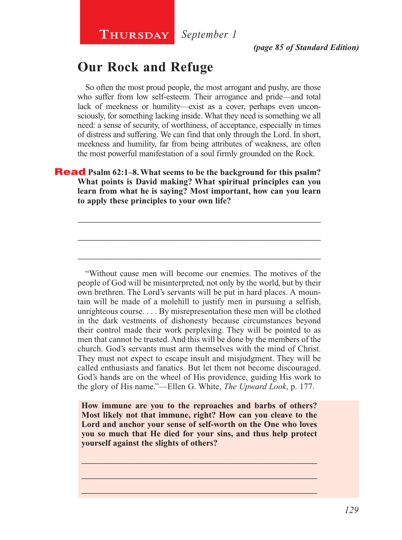*September 1*

## **Our Rock and Refuge**

So often the most proud people, the most arrogant and pushy, are those who suffer from low self-esteem. Their arrogance and pride—and total lack of meekness or humility—exist as a cover, perhaps even unconsciously, for something lacking inside. What they need is something we all need: a sense of security, of worthiness, of acceptance, especially in times of distress and suffering. We can find that only through the Lord. In short, meekness and humility, far from being attributes of weakness, are often the most powerful manifestation of a soul firmly grounded on the Rock.

#### Read **Psalm 62:1–8. What seems to be the background for this psalm? What points is David making? What spiritual principles can you learn from what he is saying? Most important, how can you learn to apply these principles to your own life?**

\_\_\_\_\_\_\_\_\_\_\_\_\_\_\_\_\_\_\_\_\_\_\_\_\_\_\_\_\_\_\_\_\_\_\_\_\_\_\_\_\_\_\_\_\_\_\_\_\_\_\_\_

\_\_\_\_\_\_\_\_\_\_\_\_\_\_\_\_\_\_\_\_\_\_\_\_\_\_\_\_\_\_\_\_\_\_\_\_\_\_\_\_\_\_\_\_\_\_\_\_\_\_\_\_

\_\_\_\_\_\_\_\_\_\_\_\_\_\_\_\_\_\_\_\_\_\_\_\_\_\_\_\_\_\_\_\_\_\_\_\_\_\_\_\_\_\_\_\_\_\_\_\_\_\_\_\_

"Without cause men will become our enemies. The motives of the people of God will be misinterpreted, not only by the world, but by their own brethren. The Lord's servants will be put in hard places. A mountain will be made of a molehill to justify men in pursuing a selfish, unrighteous course. . . . By misrepresentation these men will be clothed in the dark vestments of dishonesty because circumstances beyond their control made their work perplexing. They will be pointed to as men that cannot be trusted. And this will be done by the members of the church. God's servants must arm themselves with the mind of Christ. They must not expect to escape insult and misjudgment. They will be called enthusiasts and fanatics. But let them not become discouraged. God's hands are on the wheel of His providence, guiding His work to the glory of His name."—Ellen G. White, *The Upward Look*, p. 177.

**How immune are you to the reproaches and barbs of others? Most likely not that immune, right? How can you cleave to the Lord and anchor your sense of self-worth on the One who loves you so much that He died for your sins, and thus help protect yourself against the slights of others?**

\_\_\_\_\_\_\_\_\_\_\_\_\_\_\_\_\_\_\_\_\_\_\_\_\_\_\_\_\_\_\_\_\_\_\_\_\_\_\_\_\_\_\_\_\_\_\_\_\_\_\_\_ \_\_\_\_\_\_\_\_\_\_\_\_\_\_\_\_\_\_\_\_\_\_\_\_\_\_\_\_\_\_\_\_\_\_\_\_\_\_\_\_\_\_\_\_\_\_\_\_\_\_\_\_ \_\_\_\_\_\_\_\_\_\_\_\_\_\_\_\_\_\_\_\_\_\_\_\_\_\_\_\_\_\_\_\_\_\_\_\_\_\_\_\_\_\_\_\_\_\_\_\_\_\_\_\_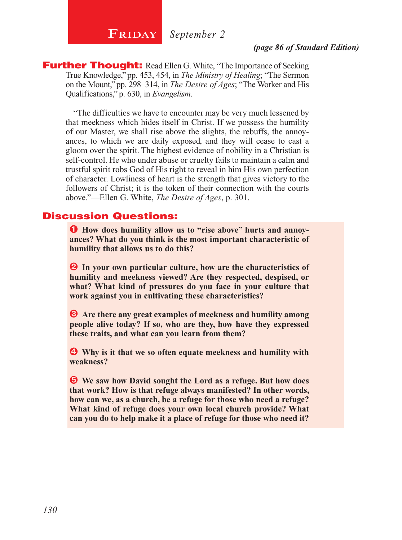## **FRIDAY** September 2

*(page 86 of Standard Edition)*

**Further Thought:** Read Ellen G. White, "The Importance of Seeking True Knowledge," pp. 453, 454, in *The Ministry of Healing*; "The Sermon on the Mount," pp. 298–314, in *The Desire of Ages*; "The Worker and His Qualifications," p. 630, in *Evangelism*.

"The difficulties we have to encounter may be very much lessened by that meekness which hides itself in Christ. If we possess the humility of our Master, we shall rise above the slights, the rebuffs, the annoyances, to which we are daily exposed, and they will cease to cast a gloom over the spirit. The highest evidence of nobility in a Christian is self-control. He who under abuse or cruelty fails to maintain a calm and trustful spirit robs God of His right to reveal in him His own perfection of character. Lowliness of heart is the strength that gives victory to the followers of Christ; it is the token of their connection with the courts above."—Ellen G. White, *The Desire of Ages*, p. 301.

#### Discussion Questions:

Ê **How does humility allow us to "rise above" hurts and annoyances? What do you think is the most important characteristic of humility that allows us to do this?**

**2** In your own particular culture, how are the characteristics of **humility and meekness viewed? Are they respected, despised, or what? What kind of pressures do you face in your culture that work against you in cultivating these characteristics?**

 $\bullet$  Are there any great examples of meekness and humility among **people alive today? If so, who are they, how have they expressed these traits, and what can you learn from them?** 

 $\bullet$  Why is it that we so often equate meekness and humility with **weakness?**

Î **We saw how David sought the Lord as a refuge. But how does that work? How is that refuge always manifested? In other words, how can we, as a church, be a refuge for those who need a refuge? What kind of refuge does your own local church provide? What can you do to help make it a place of refuge for those who need it?**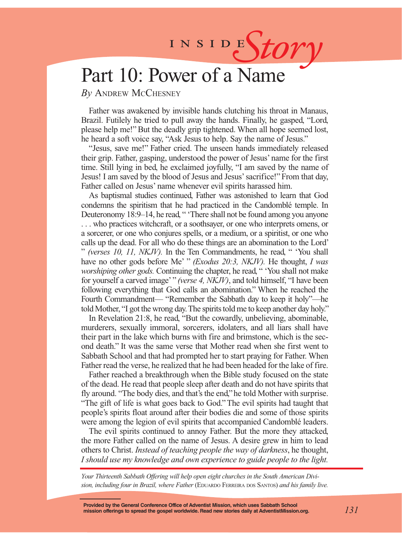# INSIDES*tory*

## Part 10: Power of a Name

*By* Andrew McChesney

Father was awakened by invisible hands clutching his throat in Manaus, Brazil. Futilely he tried to pull away the hands. Finally, he gasped, "Lord, please help me!" But the deadly grip tightened. When all hope seemed lost, he heard a soft voice say, "Ask Jesus to help. Say the name of Jesus."

"Jesus, save me!" Father cried. The unseen hands immediately released their grip. Father, gasping, understood the power of Jesus' name for the first time. Still lying in bed, he exclaimed joyfully, "I am saved by the name of Jesus! I am saved by the blood of Jesus and Jesus' sacrifice!" From that day, Father called on Jesus' name whenever evil spirits harassed him.

As baptismal studies continued, Father was astonished to learn that God condemns the spiritism that he had practiced in the Candomblé temple. In Deuteronomy 18:9–14, he read, " 'There shall not be found among you anyone . . . who practices witchcraft, or a soothsayer, or one who interprets omens, or a sorcerer, or one who conjures spells, or a medium, or a spiritist, or one who calls up the dead. For all who do these things are an abomination to the Lord' " *(verses 10, 11, NKJV).* In the Ten Commandments, he read, " 'You shall have no other gods before Me' " *(Exodus 20:3, NKJV).* He thought, *I was worshiping other gods.* Continuing the chapter, he read, " 'You shall not make for yourself a carved image' " *(verse 4, NKJV)*, and told himself, "I have been following everything that God calls an abomination." When he reached the Fourth Commandment— "Remember the Sabbath day to keep it holy"—he told Mother, "I got the wrong day. The spirits told me to keep another day holy."

In Revelation 21:8, he read, "But the cowardly, unbelieving, abominable, murderers, sexually immoral, sorcerers, idolaters, and all liars shall have their part in the lake which burns with fire and brimstone, which is the second death." It was the same verse that Mother read when she first went to Sabbath School and that had prompted her to start praying for Father. When Father read the verse, he realized that he had been headed for the lake of fire.

Father reached a breakthrough when the Bible study focused on the state of the dead. He read that people sleep after death and do not have spirits that fly around. "The body dies, and that's the end," he told Mother with surprise. "The gift of life is what goes back to God." The evil spirits had taught that people's spirits float around after their bodies die and some of those spirits were among the legion of evil spirits that accompanied Candomblé leaders.

The evil spirits continued to annoy Father. But the more they attacked, the more Father called on the name of Jesus. A desire grew in him to lead others to Christ. *Instead of teaching people the way of darkness*, he thought, *I should use my knowledge and own experience to guide people to the light.*

*Your Thirteenth Sabbath Offering will help open eight churches in the South American Divi*sion, including four in Brazil, where Father (EDUARDO FERREIRA DOS SANTOS) and his family live.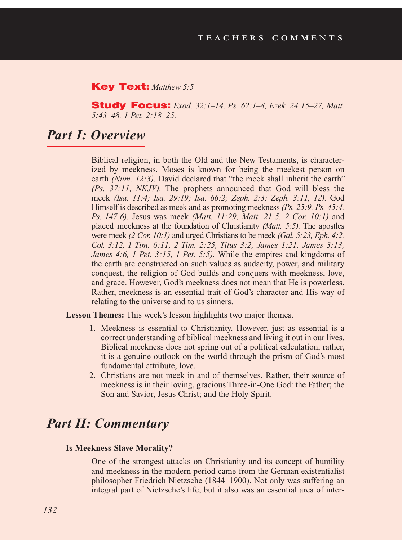#### Key Text: *Matthew 5:5*

Study Focus: *Exod. 32:1–14, Ps. 62:1–8, Ezek. 24:15–27, Matt. 5:43–48, 1 Pet. 2:18–25.*

#### *Part I: Overview*

Biblical religion, in both the Old and the New Testaments, is characterized by meekness. Moses is known for being the meekest person on earth *(Num. 12:3)*. David declared that "the meek shall inherit the earth" *(Ps. 37:11, NKJV).* The prophets announced that God will bless the meek *(Isa. 11:4; Isa. 29:19; Isa. 66:2; Zeph. 2:3; Zeph. 3:11, 12).* God Himself is described as meek and as promoting meekness *(Ps. 25:9, Ps. 45:4, Ps. 147:6).* Jesus was meek *(Matt. 11:29, Matt. 21:5, 2 Cor. 10:1)* and placed meekness at the foundation of Christianity *(Matt. 5:5).* The apostles were meek *(2 Cor. 10:1)* and urged Christians to be meek *(Gal. 5:23, Eph. 4:2, Col. 3:12, 1 Tim. 6:11, 2 Tim. 2:25, Titus 3:2, James 1:21, James 3:13, James 4:6, 1 Pet. 3:15, 1 Pet. 5:5).* While the empires and kingdoms of the earth are constructed on such values as audacity, power, and military conquest, the religion of God builds and conquers with meekness, love, and grace. However, God's meekness does not mean that He is powerless. Rather, meekness is an essential trait of God's character and His way of relating to the universe and to us sinners.

**Lesson Themes:** This week's lesson highlights two major themes.

- 1. Meekness is essential to Christianity. However, just as essential is a correct understanding of biblical meekness and living it out in our lives. Biblical meekness does not spring out of a political calculation; rather, it is a genuine outlook on the world through the prism of God's most fundamental attribute, love.
- 2. Christians are not meek in and of themselves. Rather, their source of meekness is in their loving, gracious Three-in-One God: the Father; the Son and Savior, Jesus Christ; and the Holy Spirit.

## *Part II: Commentary*

#### **Is Meekness Slave Morality?**

One of the strongest attacks on Christianity and its concept of humility and meekness in the modern period came from the German existentialist philosopher Friedrich Nietzsche (1844–1900). Not only was suffering an integral part of Nietzsche's life, but it also was an essential area of inter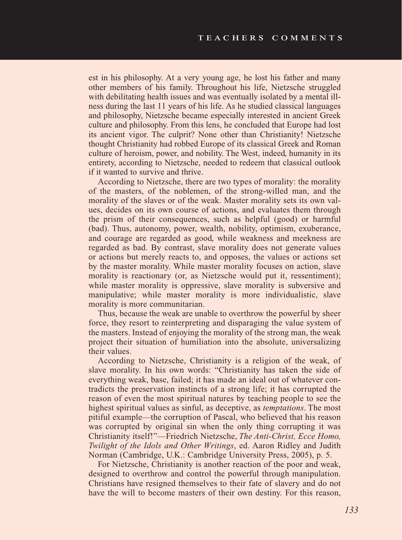est in his philosophy. At a very young age, he lost his father and many other members of his family. Throughout his life, Nietzsche struggled with debilitating health issues and was eventually isolated by a mental illness during the last 11 years of his life. As he studied classical languages and philosophy, Nietzsche became especially interested in ancient Greek culture and philosophy. From this lens, he concluded that Europe had lost its ancient vigor. The culprit? None other than Christianity! Nietzsche thought Christianity had robbed Europe of its classical Greek and Roman culture of heroism, power, and nobility. The West, indeed, humanity in its entirety, according to Nietzsche, needed to redeem that classical outlook if it wanted to survive and thrive.

According to Nietzsche, there are two types of morality: the morality of the masters, of the noblemen, of the strong-willed man, and the morality of the slaves or of the weak. Master morality sets its own values, decides on its own course of actions, and evaluates them through the prism of their consequences, such as helpful (good) or harmful (bad). Thus, autonomy, power, wealth, nobility, optimism, exuberance, and courage are regarded as good, while weakness and meekness are regarded as bad. By contrast, slave morality does not generate values or actions but merely reacts to, and opposes, the values or actions set by the master morality. While master morality focuses on action, slave morality is reactionary (or, as Nietzsche would put it, ressentiment); while master morality is oppressive, slave morality is subversive and manipulative; while master morality is more individualistic, slave morality is more communitarian.

Thus, because the weak are unable to overthrow the powerful by sheer force, they resort to reinterpreting and disparaging the value system of the masters. Instead of enjoying the morality of the strong man, the weak project their situation of humiliation into the absolute, universalizing their values.

According to Nietzsche, Christianity is a religion of the weak, of slave morality. In his own words: "Christianity has taken the side of everything weak, base, failed; it has made an ideal out of whatever contradicts the preservation instincts of a strong life; it has corrupted the reason of even the most spiritual natures by teaching people to see the highest spiritual values as sinful, as deceptive, as *temptations*. The most pitiful example—the corruption of Pascal, who believed that his reason was corrupted by original sin when the only thing corrupting it was Christianity itself!"—Friedrich Nietzsche, *The Anti-Christ, Ecce Homo, Twilight of the Idols and Other Writings*, ed. Aaron Ridley and Judith Norman (Cambridge, U.K.: Cambridge University Press, 2005), p. 5.

For Nietzsche, Christianity is another reaction of the poor and weak, designed to overthrow and control the powerful through manipulation. Christians have resigned themselves to their fate of slavery and do not have the will to become masters of their own destiny. For this reason,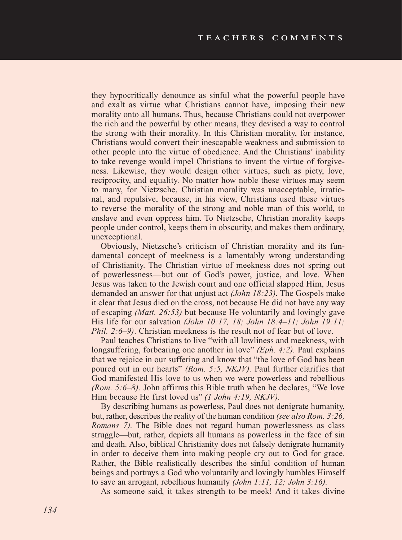they hypocritically denounce as sinful what the powerful people have and exalt as virtue what Christians cannot have, imposing their new morality onto all humans. Thus, because Christians could not overpower the rich and the powerful by other means, they devised a way to control the strong with their morality. In this Christian morality, for instance, Christians would convert their inescapable weakness and submission to other people into the virtue of obedience. And the Christians' inability to take revenge would impel Christians to invent the virtue of forgiveness. Likewise, they would design other virtues, such as piety, love, reciprocity, and equality. No matter how noble these virtues may seem to many, for Nietzsche, Christian morality was unacceptable, irrational, and repulsive, because, in his view, Christians used these virtues to reverse the morality of the strong and noble man of this world, to enslave and even oppress him. To Nietzsche, Christian morality keeps people under control, keeps them in obscurity, and makes them ordinary, unexceptional.

Obviously, Nietzsche's criticism of Christian morality and its fundamental concept of meekness is a lamentably wrong understanding of Christianity. The Christian virtue of meekness does not spring out of powerlessness—but out of God's power, justice, and love. When Jesus was taken to the Jewish court and one official slapped Him, Jesus demanded an answer for that unjust act *(John 18:23).* The Gospels make it clear that Jesus died on the cross, not because He did not have any way of escaping *(Matt. 26:53)* but because He voluntarily and lovingly gave His life for our salvation *(John 10:17, 18; John 18:4–11; John 19:11; Phil. 2:6–9)*. Christian meekness is the result not of fear but of love.

Paul teaches Christians to live "with all lowliness and meekness, with longsuffering, forbearing one another in love" *(Eph. 4:2).* Paul explains that we rejoice in our suffering and know that "the love of God has been poured out in our hearts" *(Rom. 5:5, NKJV).* Paul further clarifies that God manifested His love to us when we were powerless and rebellious *(Rom. 5:6–8).* John affirms this Bible truth when he declares, "We love Him because He first loved us" *(1 John 4:19, NKJV).* 

By describing humans as powerless, Paul does not denigrate humanity, but, rather, describes the reality of the human condition *(see also Rom. 3:26, Romans 7).* The Bible does not regard human powerlessness as class struggle—but, rather, depicts all humans as powerless in the face of sin and death. Also, biblical Christianity does not falsely denigrate humanity in order to deceive them into making people cry out to God for grace. Rather, the Bible realistically describes the sinful condition of human beings and portrays a God who voluntarily and lovingly humbles Himself to save an arrogant, rebellious humanity *(John 1:11, 12; John 3:16).* 

As someone said, it takes strength to be meek! And it takes divine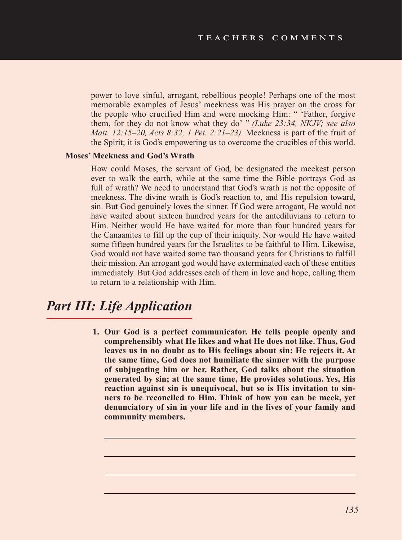power to love sinful, arrogant, rebellious people! Perhaps one of the most memorable examples of Jesus' meekness was His prayer on the cross for the people who crucified Him and were mocking Him: " 'Father, forgive them, for they do not know what they do' " *(Luke 23:34, NKJV; see also Matt. 12:15–20, Acts 8:32, 1 Pet. 2:21–23).* Meekness is part of the fruit of the Spirit; it is God's empowering us to overcome the crucibles of this world.

#### **Moses' Meekness and God's Wrath**

How could Moses, the servant of God, be designated the meekest person ever to walk the earth, while at the same time the Bible portrays God as full of wrath? We need to understand that God's wrath is not the opposite of meekness. The divine wrath is God's reaction to, and His repulsion toward, sin. But God genuinely loves the sinner. If God were arrogant, He would not have waited about sixteen hundred years for the antediluvians to return to Him. Neither would He have waited for more than four hundred years for the Canaanites to fill up the cup of their iniquity. Nor would He have waited some fifteen hundred years for the Israelites to be faithful to Him. Likewise, God would not have waited some two thousand years for Christians to fulfill their mission. An arrogant god would have exterminated each of these entities immediately. But God addresses each of them in love and hope, calling them to return to a relationship with Him.

## *Part III: Life Application*

**1. Our God is a perfect communicator. He tells people openly and comprehensibly what He likes and what He does not like. Thus, God leaves us in no doubt as to His feelings about sin: He rejects it. At the same time, God does not humiliate the sinner with the purpose of subjugating him or her. Rather, God talks about the situation generated by sin; at the same time, He provides solutions. Yes, His reaction against sin is unequivocal, but so is His invitation to sinners to be reconciled to Him. Think of how you can be meek, yet denunciatory of sin in your life and in the lives of your family and community members.**